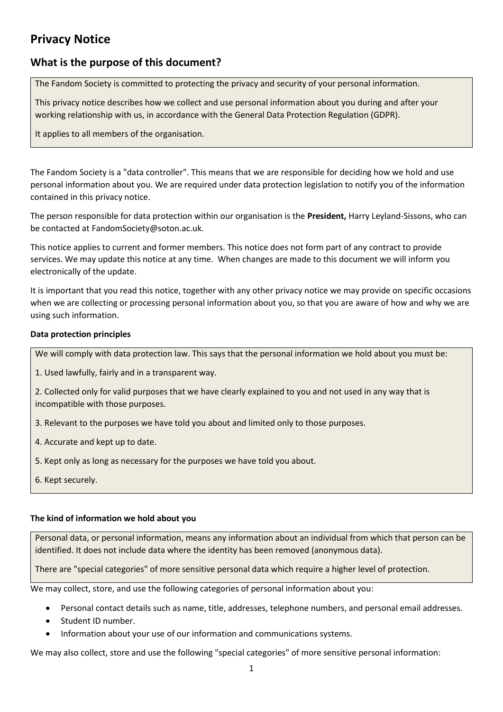# **Privacy Notice**

## **What is the purpose of this document?**

The Fandom Society is committed to protecting the privacy and security of your personal information.

This privacy notice describes how we collect and use personal information about you during and after your working relationship with us, in accordance with the General Data Protection Regulation (GDPR).

It applies to all members of the organisation.

The Fandom Society is a "data controller". This means that we are responsible for deciding how we hold and use personal information about you. We are required under data protection legislation to notify you of the information contained in this privacy notice.

The person responsible for data protection within our organisation is the **President,** Harry Leyland-Sissons, who can be contacted at FandomSociety@soton.ac.uk.

This notice applies to current and former members. This notice does not form part of any contract to provide services. We may update this notice at any time. When changes are made to this document we will inform you electronically of the update.

It is important that you read this notice, together with any other privacy notice we may provide on specific occasions when we are collecting or processing personal information about you, so that you are aware of how and why we are using such information.

## **Data protection principles**

We will comply with data protection law. This says that the personal information we hold about you must be:

- 1. Used lawfully, fairly and in a transparent way.
- 2. Collected only for valid purposes that we have clearly explained to you and not used in any way that is incompatible with those purposes.
- 3. Relevant to the purposes we have told you about and limited only to those purposes.
- 4. Accurate and kept up to date.
- 5. Kept only as long as necessary for the purposes we have told you about.
- <span id="page-0-0"></span>6. Kept securely.

#### **The kind of information we hold about you**

Personal data, or personal information, means any information about an individual from which that person can be identified. It does not include data where the identity has been removed (anonymous data).

There are "special categories" of more sensitive personal data which require a higher level of protection.

We may collect, store, and use the following categories of personal information about you:

- Personal contact details such as name, title, addresses, telephone numbers, and personal email addresses.
- Student ID number.
- Information about your use of our information and communications systems.

We may also collect, store and use the following "special categories" of more sensitive personal information: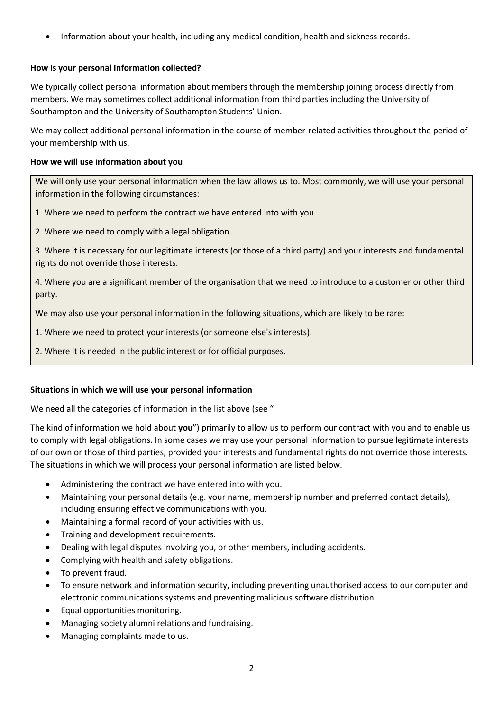• Information about your health, including any medical condition, health and sickness records.

## **How is your personal information collected?**

We typically collect personal information about members through the membership joining process directly from members. We may sometimes collect additional information from third parties including the University of Southampton and the University of Southampton Students' Union.

We may collect additional personal information in the course of member-related activities throughout the period of your membership with us.

#### **How we will use information about you**

We will only use your personal information when the law allows us to. Most commonly, we will use your personal information in the following circumstances:

- 1. Where we need to perform the contract we have entered into with you.
- 2. Where we need to comply with a legal obligation.

3. Where it is necessary for our legitimate interests (or those of a third party) and your interests and fundamental rights do not override those interests.

4. Where you are a significant member of the organisation that we need to introduce to a customer or other third party.

We may also use your personal information in the following situations, which are likely to be rare:

- 1. Where we need to protect your interests (or someone else's interests).
- 2. Where it is needed in the public interest or for official purposes.

#### **Situations in which we will use your personal information**

We need all the categories of information in the list above (see ["](#page-0-0)

[The kind of information we hold about](#page-0-0) **you**") primarily to allow us to perform our contract with you and to enable us to comply with legal obligations. In some cases we may use your personal information to pursue legitimate interests of our own or those of third parties, provided your interests and fundamental rights do not override those interests. The situations in which we will process your personal information are listed below.

- Administering the contract we have entered into with you.
- Maintaining your personal details (e.g. your name, membership number and preferred contact details), including ensuring effective communications with you.
- Maintaining a formal record of your activities with us.
- Training and development requirements.
- Dealing with legal disputes involving you, or other members, including accidents.
- Complying with health and safety obligations.
- To prevent fraud.
- To ensure network and information security, including preventing unauthorised access to our computer and electronic communications systems and preventing malicious software distribution.
- Equal opportunities monitoring.
- Managing society alumni relations and fundraising.
- Managing complaints made to us.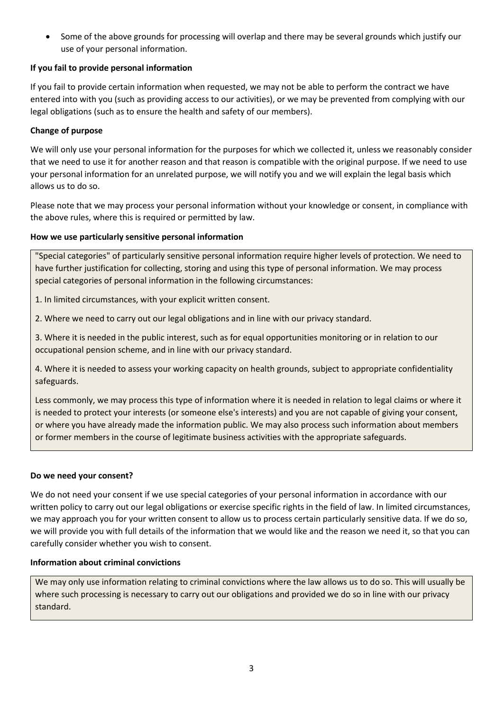• Some of the above grounds for processing will overlap and there may be several grounds which justify our use of your personal information.

## **If you fail to provide personal information**

If you fail to provide certain information when requested, we may not be able to perform the contract we have entered into with you (such as providing access to our activities), or we may be prevented from complying with our legal obligations (such as to ensure the health and safety of our members).

## **Change of purpose**

We will only use your personal information for the purposes for which we collected it, unless we reasonably consider that we need to use it for another reason and that reason is compatible with the original purpose. If we need to use your personal information for an unrelated purpose, we will notify you and we will explain the legal basis which allows us to do so.

Please note that we may process your personal information without your knowledge or consent, in compliance with the above rules, where this is required or permitted by law.

## **How we use particularly sensitive personal information**

"Special categories" of particularly sensitive personal information require higher levels of protection. We need to have further justification for collecting, storing and using this type of personal information. We may process special categories of personal information in the following circumstances:

1. In limited circumstances, with your explicit written consent.

2. Where we need to carry out our legal obligations and in line with our privacy standard.

3. Where it is needed in the public interest, such as for equal opportunities monitoring or in relation to our occupational pension scheme, and in line with our privacy standard.

4. Where it is needed to assess your working capacity on health grounds, subject to appropriate confidentiality safeguards.

Less commonly, we may process this type of information where it is needed in relation to legal claims or where it is needed to protect your interests (or someone else's interests) and you are not capable of giving your consent, or where you have already made the information public. We may also process such information about members or former members in the course of legitimate business activities with the appropriate safeguards.

## **Do we need your consent?**

We do not need your consent if we use special categories of your personal information in accordance with our written policy to carry out our legal obligations or exercise specific rights in the field of law. In limited circumstances, we may approach you for your written consent to allow us to process certain particularly sensitive data. If we do so, we will provide you with full details of the information that we would like and the reason we need it, so that you can carefully consider whether you wish to consent.

## **Information about criminal convictions**

We may only use information relating to criminal convictions where the law allows us to do so. This will usually be where such processing is necessary to carry out our obligations and provided we do so in line with our privacy standard.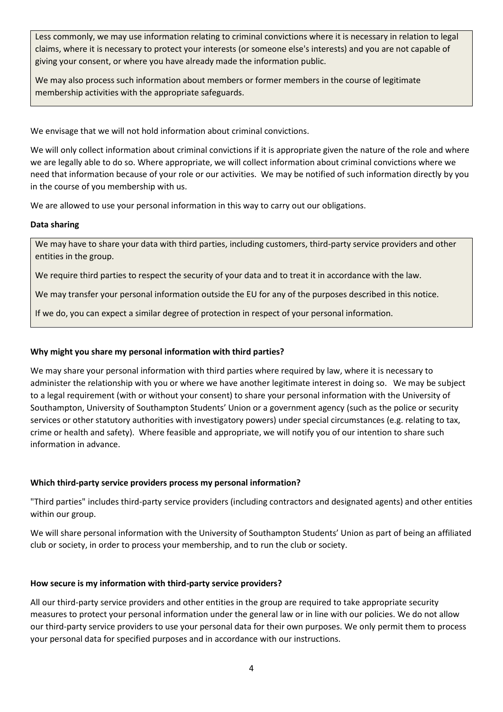Less commonly, we may use information relating to criminal convictions where it is necessary in relation to legal claims, where it is necessary to protect your interests (or someone else's interests) and you are not capable of giving your consent, or where you have already made the information public.

We may also process such information about members or former members in the course of legitimate membership activities with the appropriate safeguards.

We envisage that we will not hold information about criminal convictions.

We will only collect information about criminal convictions if it is appropriate given the nature of the role and where we are legally able to do so. Where appropriate, we will collect information about criminal convictions where we need that information because of your role or our activities. We may be notified of such information directly by you in the course of you membership with us.

We are allowed to use your personal information in this way to carry out our obligations.

#### **Data sharing**

We may have to share your data with third parties, including customers, third-party service providers and other entities in the group.

We require third parties to respect the security of your data and to treat it in accordance with the law.

We may transfer your personal information outside the EU for any of the purposes described in this notice.

If we do, you can expect a similar degree of protection in respect of your personal information.

#### **Why might you share my personal information with third parties?**

We may share your personal information with third parties where required by law, where it is necessary to administer the relationship with you or where we have another legitimate interest in doing so. We may be subject to a legal requirement (with or without your consent) to share your personal information with the University of Southampton, University of Southampton Students' Union or a government agency (such as the police or security services or other statutory authorities with investigatory powers) under special circumstances (e.g. relating to tax, crime or health and safety). Where feasible and appropriate, we will notify you of our intention to share such information in advance.

## **Which third-party service providers process my personal information?**

"Third parties" includes third-party service providers (including contractors and designated agents) and other entities within our group.

We will share personal information with the University of Southampton Students' Union as part of being an affiliated club or society, in order to process your membership, and to run the club or society.

## **How secure is my information with third-party service providers?**

All our third-party service providers and other entities in the group are required to take appropriate security measures to protect your personal information under the general law or in line with our policies. We do not allow our third-party service providers to use your personal data for their own purposes. We only permit them to process your personal data for specified purposes and in accordance with our instructions.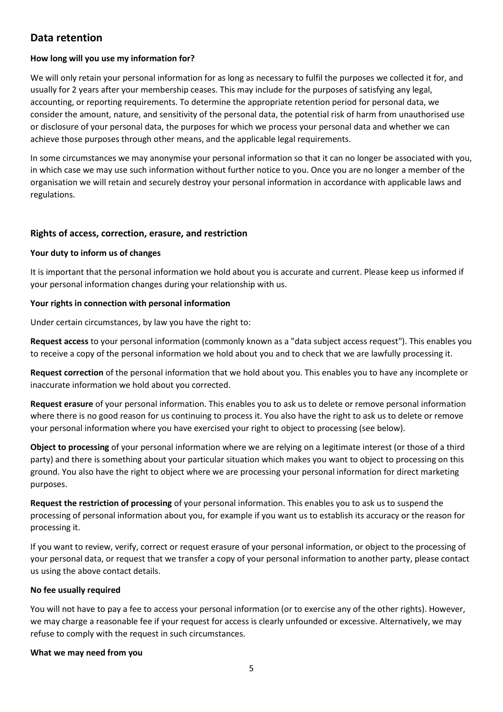## **Data retention**

## **How long will you use my information for?**

We will only retain your personal information for as long as necessary to fulfil the purposes we collected it for, and usually for 2 years after your membership ceases. This may include for the purposes of satisfying any legal, accounting, or reporting requirements. To determine the appropriate retention period for personal data, we consider the amount, nature, and sensitivity of the personal data, the potential risk of harm from unauthorised use or disclosure of your personal data, the purposes for which we process your personal data and whether we can achieve those purposes through other means, and the applicable legal requirements.

In some circumstances we may anonymise your personal information so that it can no longer be associated with you, in which case we may use such information without further notice to you. Once you are no longer a member of the organisation we will retain and securely destroy your personal information in accordance with applicable laws and regulations.

#### **Rights of access, correction, erasure, and restriction**

#### **Your duty to inform us of changes**

It is important that the personal information we hold about you is accurate and current. Please keep us informed if your personal information changes during your relationship with us.

#### **Your rights in connection with personal information**

Under certain circumstances, by law you have the right to:

**Request access** to your personal information (commonly known as a "data subject access request"). This enables you to receive a copy of the personal information we hold about you and to check that we are lawfully processing it.

**Request correction** of the personal information that we hold about you. This enables you to have any incomplete or inaccurate information we hold about you corrected.

**Request erasure** of your personal information. This enables you to ask us to delete or remove personal information where there is no good reason for us continuing to process it. You also have the right to ask us to delete or remove your personal information where you have exercised your right to object to processing (see below).

**Object to processing** of your personal information where we are relying on a legitimate interest (or those of a third party) and there is something about your particular situation which makes you want to object to processing on this ground. You also have the right to object where we are processing your personal information for direct marketing purposes.

**Request the restriction of processing** of your personal information. This enables you to ask us to suspend the processing of personal information about you, for example if you want us to establish its accuracy or the reason for processing it.

If you want to review, verify, correct or request erasure of your personal information, or object to the processing of your personal data, or request that we transfer a copy of your personal information to another party, please contact us using the above contact details.

#### **No fee usually required**

You will not have to pay a fee to access your personal information (or to exercise any of the other rights). However, we may charge a reasonable fee if your request for access is clearly unfounded or excessive. Alternatively, we may refuse to comply with the request in such circumstances.

#### **What we may need from you**